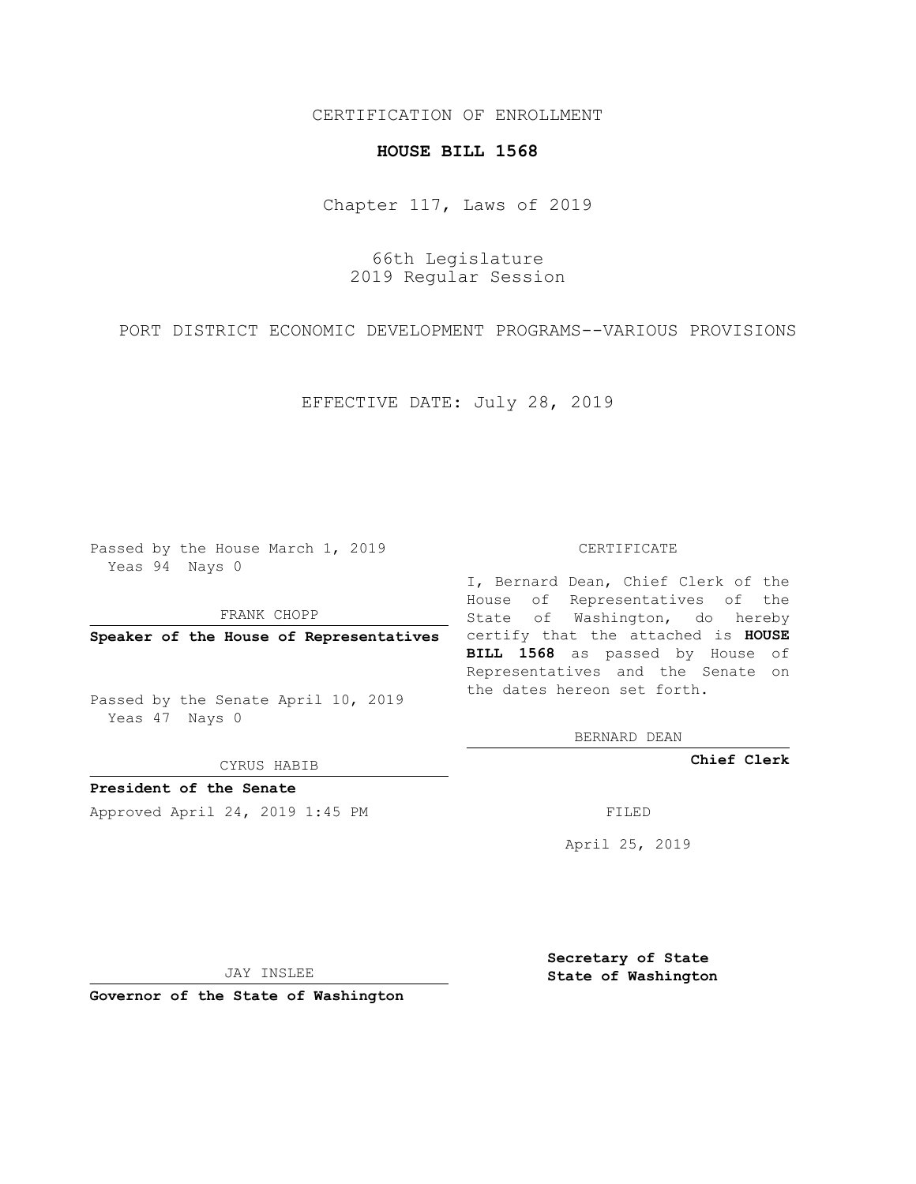## CERTIFICATION OF ENROLLMENT

## **HOUSE BILL 1568**

Chapter 117, Laws of 2019

66th Legislature 2019 Regular Session

PORT DISTRICT ECONOMIC DEVELOPMENT PROGRAMS--VARIOUS PROVISIONS

EFFECTIVE DATE: July 28, 2019

Passed by the House March 1, 2019 Yeas 94 Nays 0

FRANK CHOPP

Passed by the Senate April 10, 2019 Yeas 47 Nays 0

CYRUS HABIB

**President of the Senate**

Approved April 24, 2019 1:45 PM FILED

## CERTIFICATE

**Speaker of the House of Representatives** certify that the attached is **HOUSE** I, Bernard Dean, Chief Clerk of the House of Representatives of the State of Washington, do hereby **BILL 1568** as passed by House of Representatives and the Senate on the dates hereon set forth.

BERNARD DEAN

**Chief Clerk**

April 25, 2019

JAY INSLEE

**Governor of the State of Washington**

**Secretary of State State of Washington**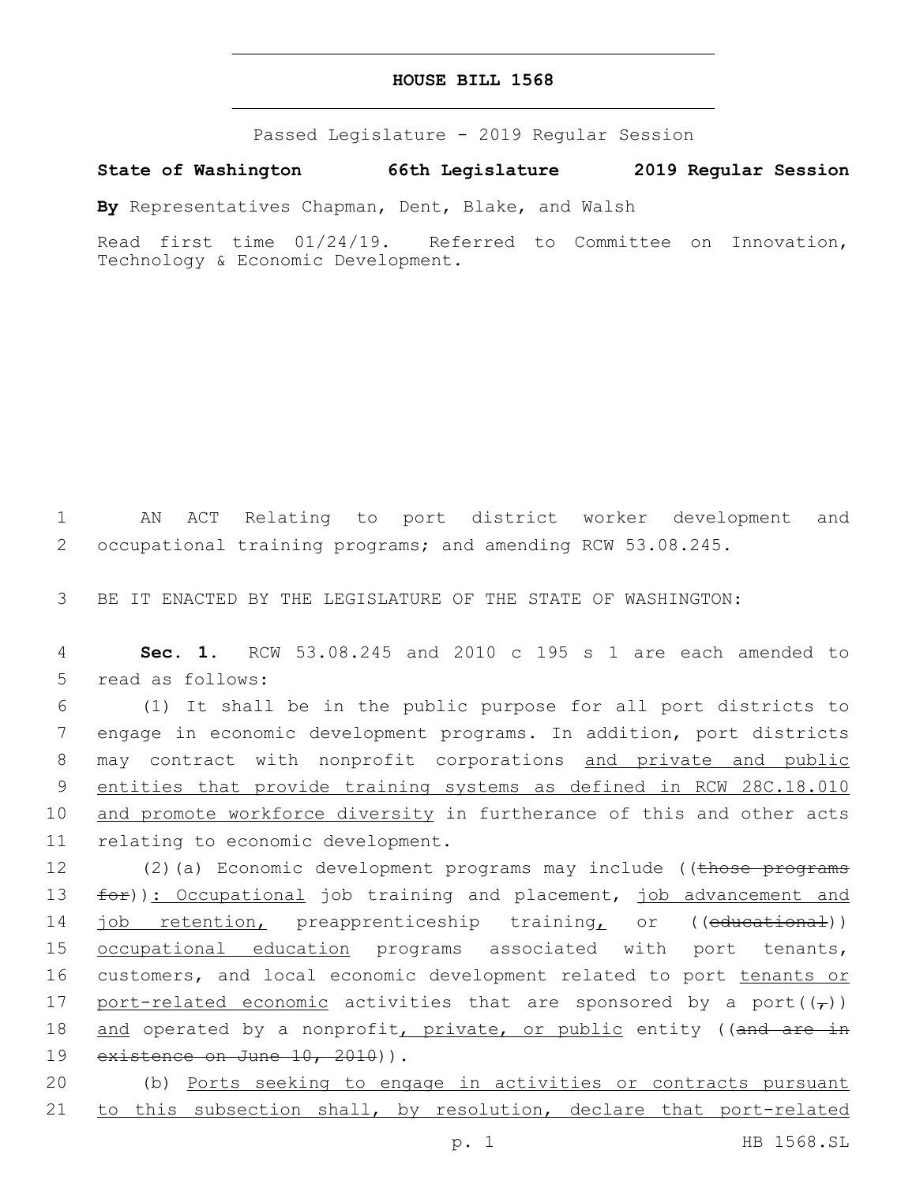## **HOUSE BILL 1568**

Passed Legislature - 2019 Regular Session

**State of Washington 66th Legislature 2019 Regular Session**

**By** Representatives Chapman, Dent, Blake, and Walsh

Read first time 01/24/19. Referred to Committee on Innovation, Technology & Economic Development.

1 AN ACT Relating to port district worker development and 2 occupational training programs; and amending RCW 53.08.245.

3 BE IT ENACTED BY THE LEGISLATURE OF THE STATE OF WASHINGTON:

4 **Sec. 1.** RCW 53.08.245 and 2010 c 195 s 1 are each amended to 5 read as follows:

6 (1) It shall be in the public purpose for all port districts to 7 engage in economic development programs. In addition, port districts 8 may contract with nonprofit corporations and private and public 9 entities that provide training systems as defined in RCW 28C.18.010 10 and promote workforce diversity in furtherance of this and other acts 11 relating to economic development.

12 (2)(a) Economic development programs may include ((those programs 13 for)): Occupational job training and placement, job advancement and 14 job retention, preapprenticeship training, or ((educational)) 15 <u>occupational education</u> programs associated with port tenants, 16 customers, and local economic development related to port tenants or 17 port-related economic activities that are sponsored by a port( $(\tau)$ ) 18 and operated by a nonprofit, private, or public entity ((and are in 19 existence on June 10, 2010)).

20 (b) Ports seeking to engage in activities or contracts pursuant 21 to this subsection shall, by resolution, declare that port-related